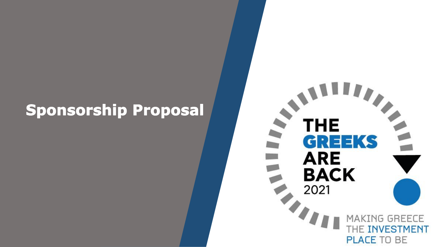# **Sponsorship Proposal**

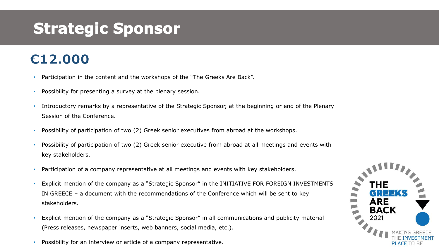# **Strategic Sponsor**

## €12.000

- Participation in the content and the workshops of the "The Greeks Are Back".
- Possibility for presenting a survey at the plenary session.
- Introductory remarks by a representative of the Strategic Sponsor, at the beginning or end of the Plenary Session of the Conference.
- Possibility of participation of two (2) Greek senior executives from abroad at the workshops.
- Possibility of participation of two (2) Greek senior executive from abroad at all meetings and events with key stakeholders.
- Participation of a company representative at all meetings and events with key stakeholders.
- Explicit mention of the company as a "Strategic Sponsor" in the INITIATIVE FOR FOREIGN INVESTMENTS IN GREECE – a document with the recommendations of the Conference which will be sent to key stakeholders.
- Explicit mention of the company as a "Strategic Sponsor" in all communications and publicity material (Press releases, newspaper inserts, web banners, social media, etc.).
- Possibility for an interview or article of a company representative.

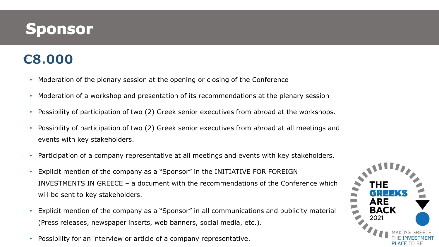# **Sponsor**

## €8.000

- Moderation of the plenary session at the opening or closing of the Conference
- Moderation of a workshop and presentation of its recommendations at the plenary session
- Possibility of participation of two (2) Greek senior executives from abroad at the workshops.
- Possibility of participation of two (2) Greek senior executives from abroad at all meetings and events with key stakeholders.
- Participation of a company representative at all meetings and events with key stakeholders.
- Explicit mention of the company as a "Sponsor" in the INITIATIVE FOR FOREIGN INVESTMENTS IN GREECE – a document with the recommendations of the Conference which will be sent to key stakeholders.
- Explicit mention of the company as a "Sponsor" in all communications and publicity material (Press releases, newspaper inserts, web banners, social media, etc.).
- Possibility for an interview or article of a company representative.

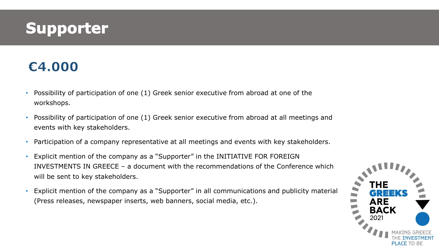# **Supporter**

### €4.000

- Possibility of participation of one (1) Greek senior executive from abroad at one of the workshops.
- Possibility of participation of one (1) Greek senior executive from abroad at all meetings and events with key stakeholders.
- Participation of a company representative at all meetings and events with key stakeholders.
- Explicit mention of the company as a "Supporter" in the INITIATIVE FOR FOREIGN INVESTMENTS IN GREECE – a document with the recommendations of the Conference which will be sent to key stakeholders.
- Explicit mention of the company as a "Supporter" in all communications and publicity material (Press releases, newspaper inserts, web banners, social media, etc.).

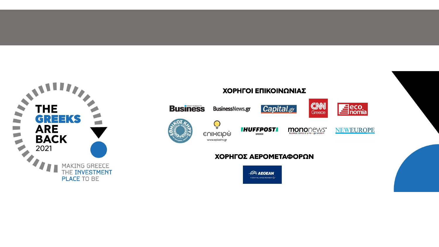

#### ΧΟΡΗΓΟΙ ΕΠΙΚΟΙΝΩΝΙΑΣ



 $\mathbf{Q}$ 

ενικειρώ

www.epixeiro.gr

**BusinessNews.gr** 



**MONONCWS** 





#### ΧΟΡΗΓΟΣ ΑΕΡΟΜΕΤΑΦΟΡΩΝ

**IHUFFPOST** 

GREECE